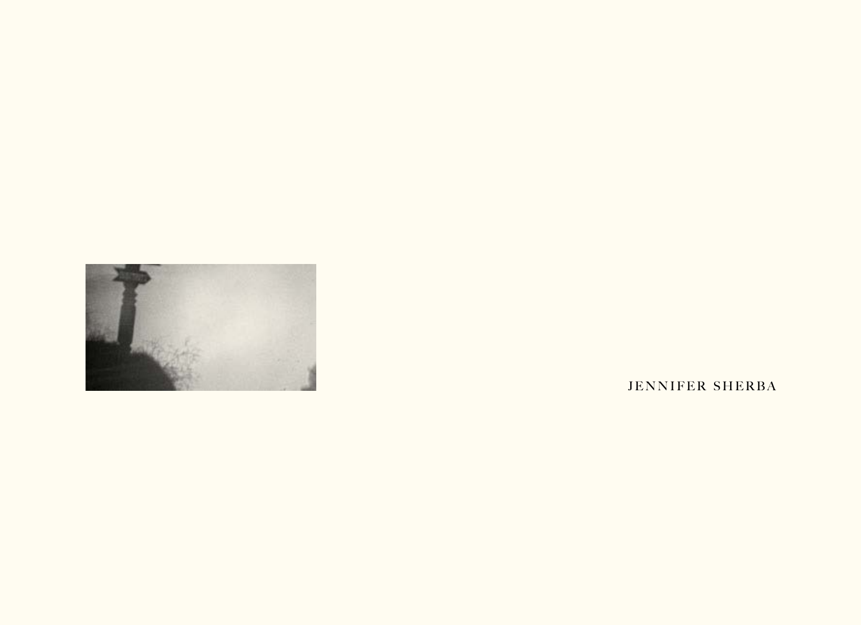

JENNIFER SHERBA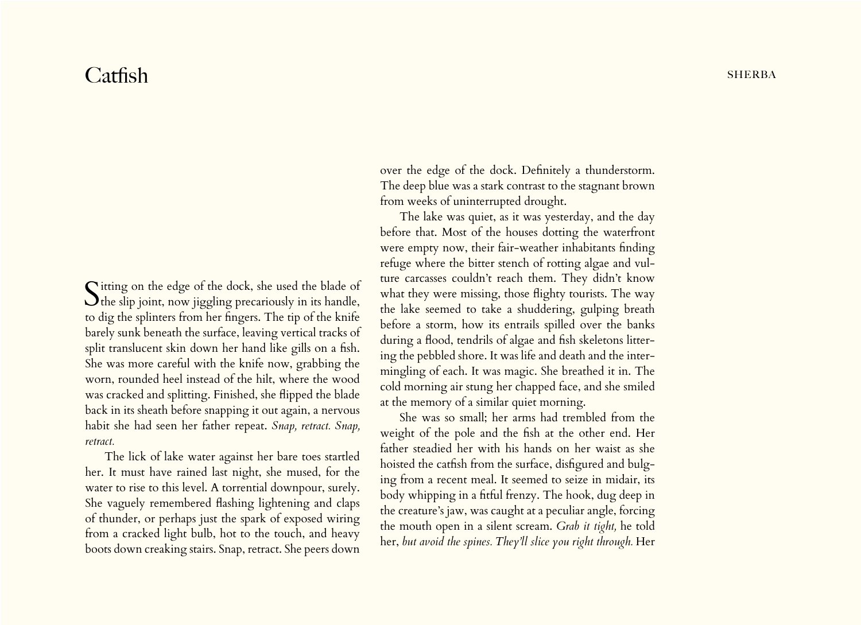## $\text{Catfish}$  sherba

Sitting on the edge of the dock, she used the blade of the slip joint, now jiggling precariously in its handle, to dig the splinters from her fingers. The tip of the knife barely sunk beneath the surface, leaving vertical tracks of split translucent skin down her hand like gills on a fish. She was more careful with the knife now, grabbing the worn, rounded heel instead of the hilt, where the wood was cracked and splitting. Finished, she flipped the blade back in its sheath before snapping it out again, a nervous habit she had seen her father repeat. *Snap, retract. Snap, retract.*

The lick of lake water against her bare toes startled her. It must have rained last night, she mused, for the water to rise to this level. A torrential downpour, surely. She vaguely remembered flashing lightening and claps of thunder, or perhaps just the spark of exposed wiring from a cracked light bulb, hot to the touch, and heavy boots down creaking stairs. Snap, retract. She peers down

over the edge of the dock. Definitely a thunderstorm. The deep blue was a stark contrast to the stagnant brown from weeks of uninterrupted drought.

The lake was quiet, as it was yesterday, and the day before that. Most of the houses dotting the waterfront were empty now, their fair-weather inhabitants finding refuge where the bitter stench of rotting algae and vulture carcasses couldn't reach them. They didn't know what they were missing, those flighty tourists. The way the lake seemed to take a shuddering, gulping breath before a storm, how its entrails spilled over the banks during a flood, tendrils of algae and fish skeletons littering the pebbled shore. It was life and death and the intermingling of each. It was magic. She breathed it in. The cold morning air stung her chapped face, and she smiled at the memory of a similar quiet morning.

She was so small; her arms had trembled from the weight of the pole and the fish at the other end. Her father steadied her with his hands on her waist as she hoisted the catfish from the surface, disfigured and bulging from a recent meal. It seemed to seize in midair, its body whipping in a fitful frenzy. The hook, dug deep in the creature's jaw, was caught at a peculiar angle, forcing the mouth open in a silent scream. *Grab it tight,* he told her, but avoid the spines. They'll slice you right through. Her